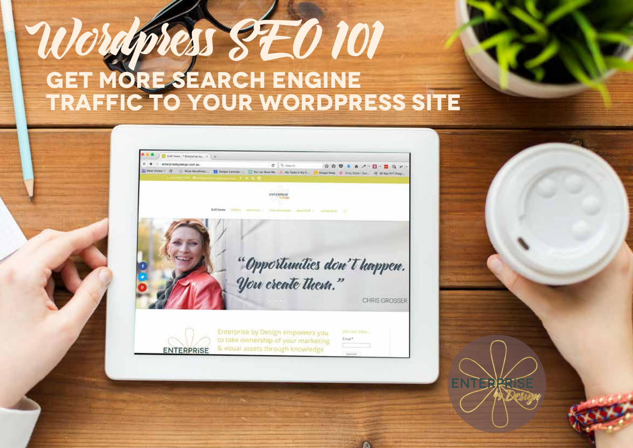# Wordpress SEO 101  **Get more search engine traffic to your wordpress site**



**A** 

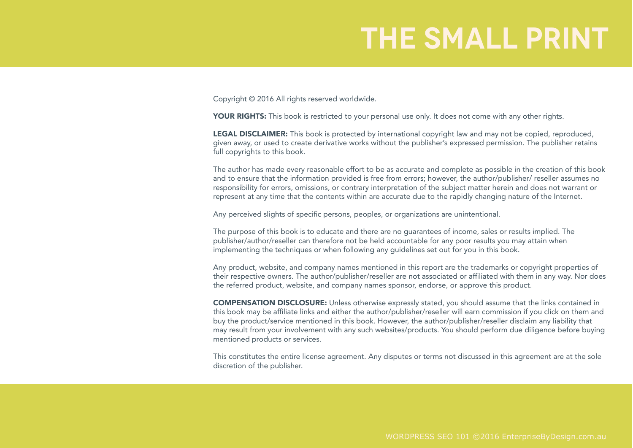#### **the small print**

Copyright © 2016 All rights reserved worldwide.

YOUR RIGHTS: This book is restricted to your personal use only. It does not come with any other rights.

**LEGAL DISCLAIMER:** This book is protected by international copyright law and may not be copied, reproduced, given away, or used to create derivative works without the publisher's expressed permission. The publisher retains full copyrights to this book.

The author has made every reasonable effort to be as accurate and complete as possible in the creation of this book and to ensure that the information provided is free from errors; however, the author/publisher/ reseller assumes no responsibility for errors, omissions, or contrary interpretation of the subject matter herein and does not warrant or represent at any time that the contents within are accurate due to the rapidly changing nature of the Internet.

Any perceived slights of specific persons, peoples, or organizations are unintentional.

The purpose of this book is to educate and there are no guarantees of income, sales or results implied. The publisher/author/reseller can therefore not be held accountable for any poor results you may attain when implementing the techniques or when following any guidelines set out for you in this book.

Any product, website, and company names mentioned in this report are the trademarks or copyright properties of their respective owners. The author/publisher/reseller are not associated or affiliated with them in any way. Nor does the referred product, website, and company names sponsor, endorse, or approve this product.

COMPENSATION DISCLOSURE: Unless otherwise expressly stated, you should assume that the links contained in this book may be affiliate links and either the author/publisher/reseller will earn commission if you click on them and buy the product/service mentioned in this book. However, the author/publisher/reseller disclaim any liability that may result from your involvement with any such websites/products. You should perform due diligence before buying mentioned products or services.

This constitutes the entire license agreement. Any disputes or terms not discussed in this agreement are at the sole discretion of the publisher.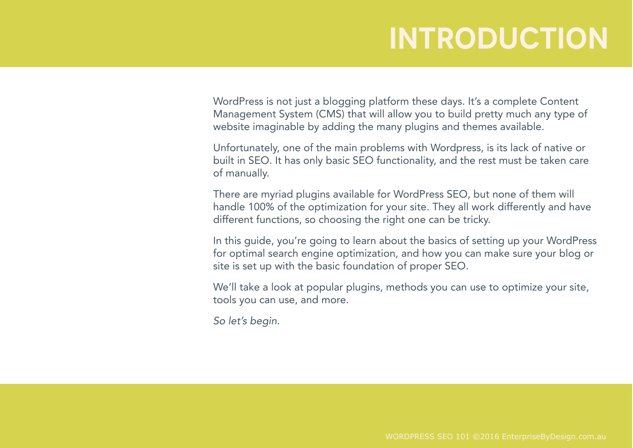#### **Introduction**

WordPress is not just a blogging platform these days. It's a complete Content Management System (CMS) that will allow you to build pretty much any type of website imaginable by adding the many plugins and themes available.

Unfortunately, one of the main problems with Wordpress, is its lack of native or built in SEO. It has only basic SEO functionality, and the rest must be taken care of manually.

There are myriad plugins available for WordPress SEO, but none of them will handle 100% of the optimization for your site. They all work differently and have different functions, so choosing the right one can be tricky.

In this guide, you're going to learn about the basics of setting up your WordPress for optimal search engine optimization, and how you can make sure your blog or site is set up with the basic foundation of proper SEO.

We'll take a look at popular plugins, methods you can use to optimize your site, tools you can use, and more.

*So let's begin.*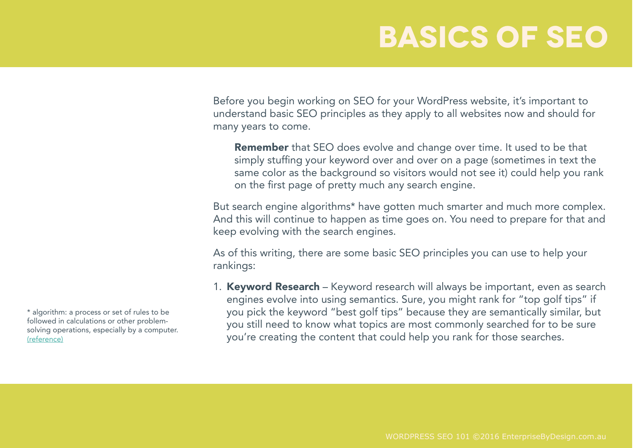# **Basics of SEO**

Before you begin working on SEO for your WordPress website, it's important to understand basic SEO principles as they apply to all websites now and should for many years to come.

Remember that SEO does evolve and change over time. It used to be that simply stuffing your keyword over and over on a page (sometimes in text the same color as the background so visitors would not see it) could help you rank on the first page of pretty much any search engine.

But search engine algorithms\* have gotten much smarter and much more complex. And this will continue to happen as time goes on. You need to prepare for that and keep evolving with the search engines.

As of this writing, there are some basic SEO principles you can use to help your rankings:

1. Keyword Research – Keyword research will always be important, even as search engines evolve into using semantics. Sure, you might rank for "top golf tips" if you pick the keyword "best golf tips" because they are semantically similar, but you still need to know what topics are most commonly searched for to be sure you're creating the content that could help you rank for those searches.

\* algorithm: a process or set of rules to be followed in calculations or other problemsolving operations, especially by a computer. (reference)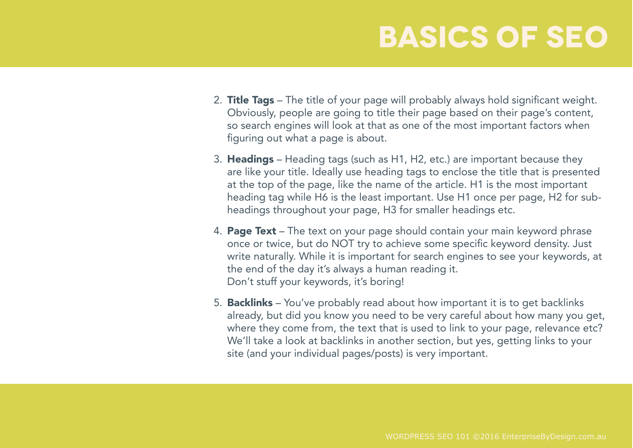# **BASICS OF SEO**

- 2. Title Tags The title of your page will probably always hold significant weight. Obviously, people are going to title their page based on their page's content, so search engines will look at that as one of the most important factors when figuring out what a page is about.
- 3. Headings Heading tags (such as H1, H2, etc.) are important because they are like your title. Ideally use heading tags to enclose the title that is presented at the top of the page, like the name of the article. H1 is the most important heading tag while H6 is the least important. Use H1 once per page, H2 for subheadings throughout your page, H3 for smaller headings etc.
- 4. Page Text The text on your page should contain your main keyword phrase once or twice, but do NOT try to achieve some specific keyword density. Just write naturally. While it is important for search engines to see your keywords, at the end of the day it's always a human reading it. Don't stuff your keywords, it's boring!
- 5. Backlinks You've probably read about how important it is to get backlinks already, but did you know you need to be very careful about how many you get, where they come from, the text that is used to link to your page, relevance etc? We'll take a look at backlinks in another section, but yes, getting links to your site (and your individual pages/posts) is very important.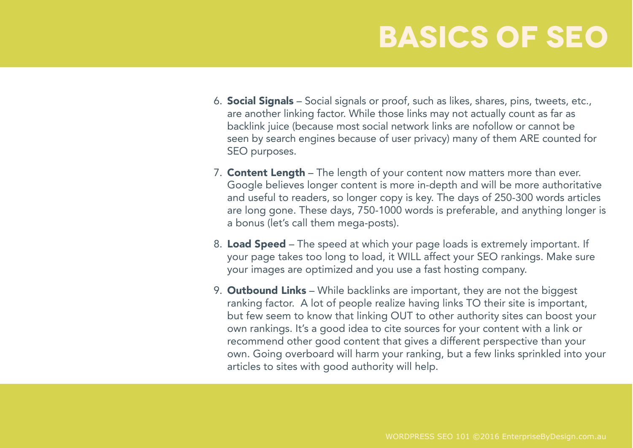# **BASICS OF SEO**

- 6. Social Signals Social signals or proof, such as likes, shares, pins, tweets, etc., are another linking factor. While those links may not actually count as far as backlink juice (because most social network links are nofollow or cannot be seen by search engines because of user privacy) many of them ARE counted for SEO purposes.
- 7. Content Length The length of your content now matters more than ever. Google believes longer content is more in-depth and will be more authoritative and useful to readers, so longer copy is key. The days of 250-300 words articles are long gone. These days, 750-1000 words is preferable, and anything longer is a bonus (let's call them mega-posts).
- 8. Load Speed The speed at which your page loads is extremely important. If your page takes too long to load, it WILL affect your SEO rankings. Make sure your images are optimized and you use a fast hosting company.
- 9. **Outbound Links** While backlinks are important, they are not the biggest ranking factor. A lot of people realize having links TO their site is important, but few seem to know that linking OUT to other authority sites can boost your own rankings. It's a good idea to cite sources for your content with a link or recommend other good content that gives a different perspective than your own. Going overboard will harm your ranking, but a few links sprinkled into your articles to sites with good authority will help.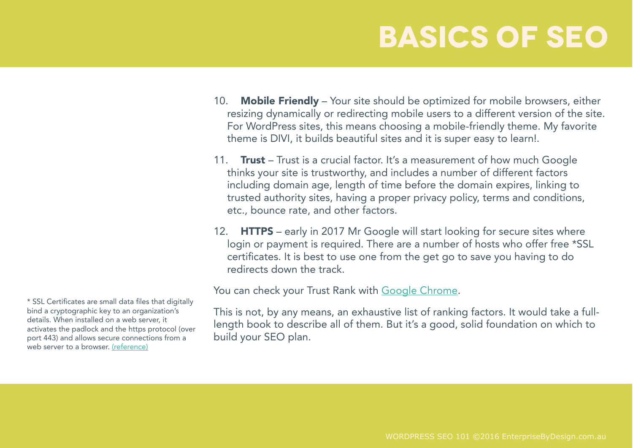# **BASICS OF SEO**

- 10. **Mobile Friendly** Your site should be optimized for mobile browsers, either resizing dynamically or redirecting mobile users to a different version of the site. For WordPress sites, this means choosing a mobile-friendly theme. My favorite theme is DIVI, it builds beautiful sites and it is super easy to learn!.
- 11. **Trust** Trust is a crucial factor. It's a measurement of how much Google thinks your site is trustworthy, and includes a number of different factors including domain age, length of time before the domain expires, linking to trusted authority sites, having a proper privacy policy, terms and conditions, etc., bounce rate, and other factors.
- 12. **HTTPS** early in 2017 Mr Google will start looking for secure sites where login or payment is required. There are a number of hosts who offer free \*SSL certificates. It is best to use one from the get go to save you having to do redirects down the track.

You can check your Trust Rank with Google Chrome.

This is not, by any means, an exhaustive list of ranking factors. It would take a fulllength book to describe all of them. But it's a good, solid foundation on which to build your SEO plan.

\* SSL Certificates are small data files that digitally bind a cryptographic key to an organization's details. When installed on a web server, it activates the padlock and the https protocol (over port 443) and allows secure connections from a web server to a browser. (reference)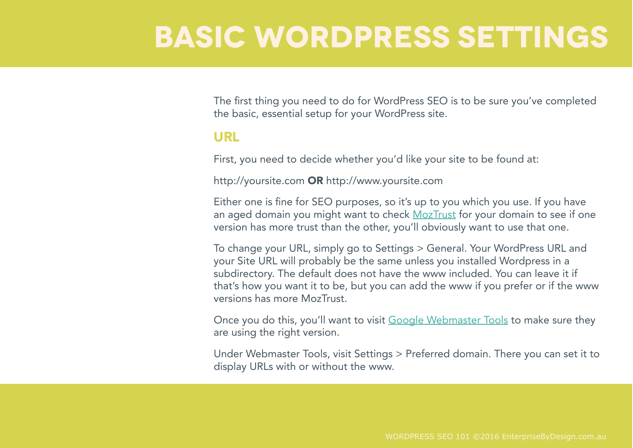#### **BASIC Wordpress SETTINGS**

The first thing you need to do for WordPress SEO is to be sure you've completed the basic, essential setup for your WordPress site.

#### URL

First, you need to decide whether you'd like your site to be found at:

http://yoursite.com OR http://www.yoursite.com

Either one is fine for SEO purposes, so it's up to you which you use. If you have an aged domain you might want to check MozTrust for your domain to see if one version has more trust than the other, you'll obviously want to use that one.

To change your URL, simply go to Settings > General. Your WordPress URL and your Site URL will probably be the same unless you installed Wordpress in a subdirectory. The default does not have the www included. You can leave it if that's how you want it to be, but you can add the www if you prefer or if the www versions has more MozTrust.

Once you do this, you'll want to visit Google Webmaster Tools to make sure they are using the right version.

Under Webmaster Tools, visit Settings > Preferred domain. There you can set it to display URLs with or without the www.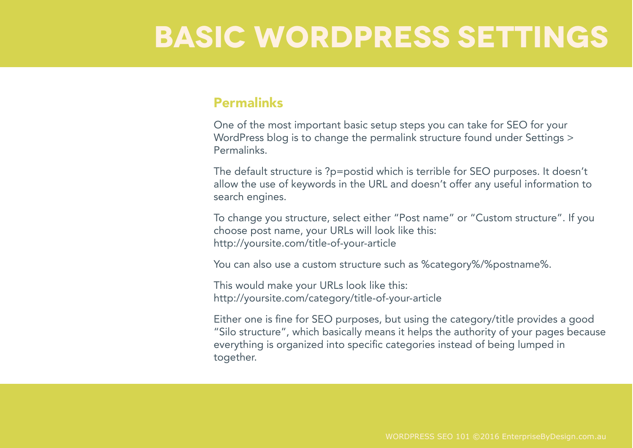#### **BASIC Wordpress SETTINGS**

#### Permalinks

One of the most important basic setup steps you can take for SEO for your WordPress blog is to change the permalink structure found under Settings > Permalinks.

The default structure is ?p=postid which is terrible for SEO purposes. It doesn't allow the use of keywords in the URL and doesn't offer any useful information to search engines.

To change you structure, select either "Post name" or "Custom structure". If you choose post name, your URLs will look like this: http://yoursite.com/title-of-your-article

You can also use a custom structure such as %category%/%postname%.

This would make your URLs look like this: http://yoursite.com/category/title-of-your-article

Either one is fine for SEO purposes, but using the category/title provides a good "Silo structure", which basically means it helps the authority of your pages because everything is organized into specific categories instead of being lumped in together.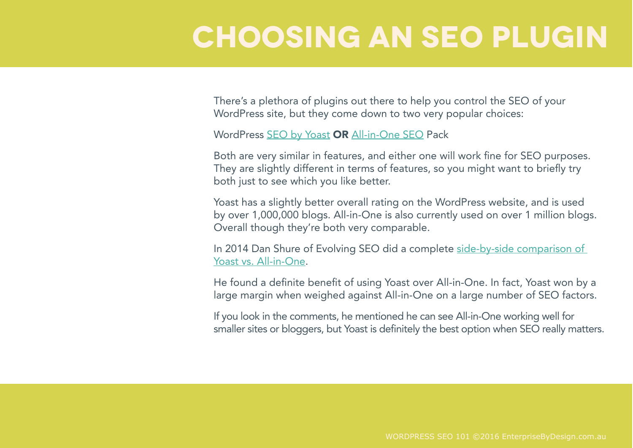#### **Choosing an SEO Plugin**

There's a plethora of plugins out there to help you control the SEO of your WordPress site, but they come down to two very popular choices:

WordPress SEO by Yoast OR All-in-One SEO Pack

Both are very similar in features, and either one will work fine for SEO purposes. They are slightly different in terms of features, so you might want to briefly try both just to see which you like better.

Yoast has a slightly better overall rating on the WordPress website, and is used by over 1,000,000 blogs. All-in-One is also currently used on over 1 million blogs. Overall though they're both very comparable.

In 2014 Dan Shure of Evolving SEO did a complete side-by-side comparison of Yoast vs. All-in-One.

He found a definite benefit of using Yoast over All-in-One. In fact, Yoast won by a large margin when weighed against All-in-One on a large number of SEO factors.

If you look in the comments, he mentioned he can see All-in-One working well for smaller sites or bloggers, but Yoast is definitely the best option when SEO really matters.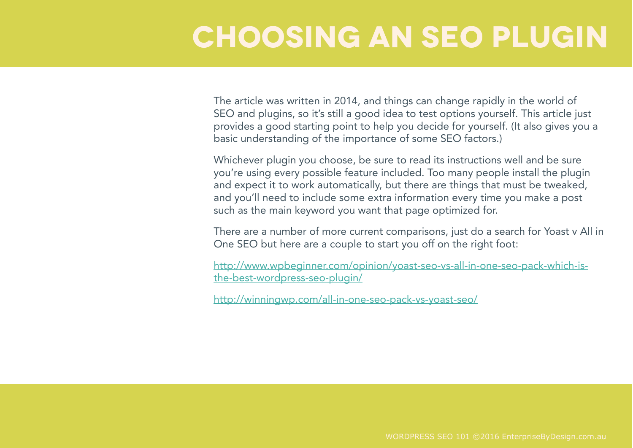# **Choosing an SEO Plugin**

The article was written in 2014, and things can change rapidly in the world of SEO and plugins, so it's still a good idea to test options yourself. This article just provides a good starting point to help you decide for yourself. (It also gives you a basic understanding of the importance of some SEO factors.)

Whichever plugin you choose, be sure to read its instructions well and be sure you're using every possible feature included. Too many people install the plugin and expect it to work automatically, but there are things that must be tweaked, and you'll need to include some extra information every time you make a post such as the main keyword you want that page optimized for.

There are a number of more current comparisons, just do a search for Yoast v All in One SEO but here are a couple to start you off on the right foot:

http://www.wpbeginner.com/opinion/yoast-seo-vs-all-in-one-seo-pack-which-isthe-best-wordpress-seo-plugin/

http://winningwp.com/all-in-one-seo-pack-vs-yoast-seo/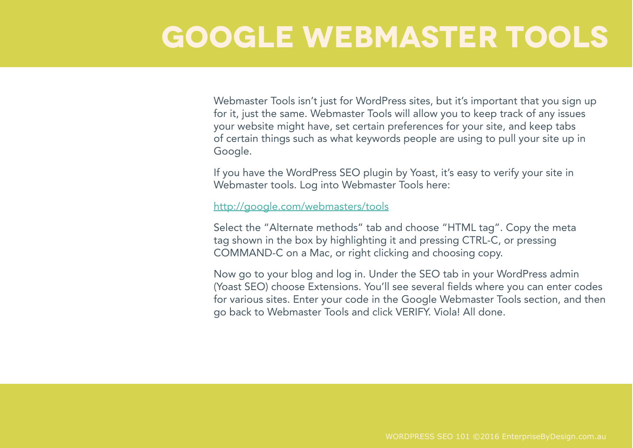#### **Google Webmaster Tools**

Webmaster Tools isn't just for WordPress sites, but it's important that you sign up for it, just the same. Webmaster Tools will allow you to keep track of any issues your website might have, set certain preferences for your site, and keep tabs of certain things such as what keywords people are using to pull your site up in Google.

If you have the WordPress SEO plugin by Yoast, it's easy to verify your site in Webmaster tools. Log into Webmaster Tools here:

http://google.com/webmasters/tools

Select the "Alternate methods" tab and choose "HTML tag". Copy the meta tag shown in the box by highlighting it and pressing CTRL-C, or pressing COMMAND-C on a Mac, or right clicking and choosing copy.

Now go to your blog and log in. Under the SEO tab in your WordPress admin (Yoast SEO) choose Extensions. You'll see several fields where you can enter codes for various sites. Enter your code in the Google Webmaster Tools section, and then go back to Webmaster Tools and click VERIFY. Viola! All done.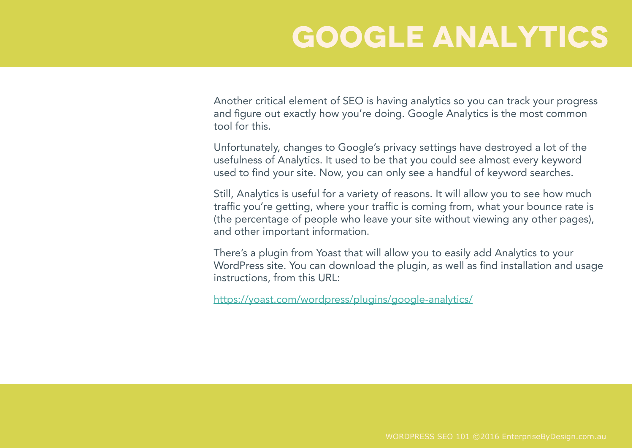Another critical element of SEO is having analytics so you can track your progress and figure out exactly how you're doing. Google Analytics is the most common tool for this.

Unfortunately, changes to Google's privacy settings have destroyed a lot of the usefulness of Analytics. It used to be that you could see almost every keyword used to find your site. Now, you can only see a handful of keyword searches.

Still, Analytics is useful for a variety of reasons. It will allow you to see how much traffic you're getting, where your traffic is coming from, what your bounce rate is (the percentage of people who leave your site without viewing any other pages), and other important information.

There's a plugin from Yoast that will allow you to easily add Analytics to your WordPress site. You can download the plugin, as well as find installation and usage instructions, from this URL:

https://yoast.com/wordpress/plugins/google-analytics/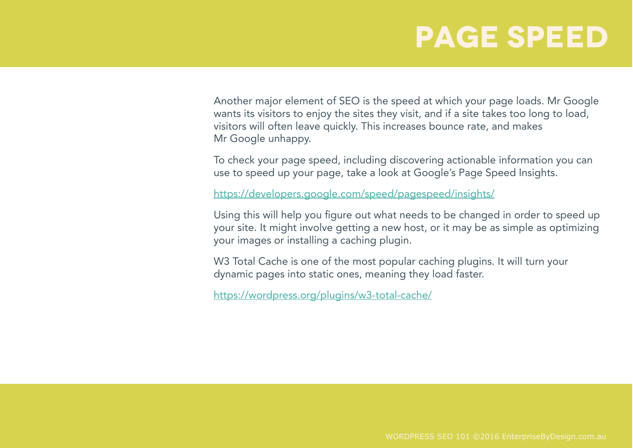#### **Page Speed**

Another major element of SEO is the speed at which your page loads. Mr Google wants its visitors to enjoy the sites they visit, and if a site takes too long to load, visitors will often leave quickly. This increases bounce rate, and makes Mr Google unhappy.

To check your page speed, including discovering actionable information you can use to speed up your page, take a look at Google's Page Speed Insights.

https://developers.google.com/speed/pagespeed/insights/

Using this will help you figure out what needs to be changed in order to speed up your site. It might involve getting a new host, or it may be as simple as optimizing your images or installing a caching plugin.

W3 Total Cache is one of the most popular caching plugins. It will turn your dynamic pages into static ones, meaning they load faster.

https://wordpress.org/plugins/w3-total-cache/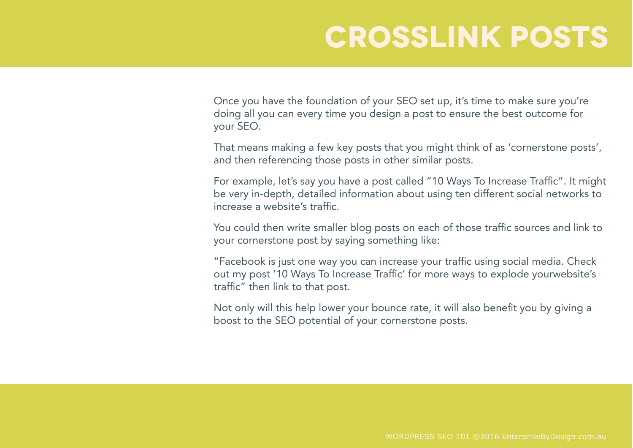# **Crosslink Posts**

Once you have the foundation of your SEO set up, it's time to make sure you're doing all you can every time you design a post to ensure the best outcome for your SEO.

That means making a few key posts that you might think of as 'cornerstone posts', and then referencing those posts in other similar posts.

For example, let's say you have a post called "10 Ways To Increase Traffic". It might be very in-depth, detailed information about using ten different social networks to increase a website's traffic.

You could then write smaller blog posts on each of those traffic sources and link to your cornerstone post by saying something like:

"Facebook is just one way you can increase your traffic using social media. Check out my post '10 Ways To Increase Traffic' for more ways to explode yourwebsite's traffic" then link to that post.

Not only will this help lower your bounce rate, it will also benefit you by giving a boost to the SEO potential of your cornerstone posts.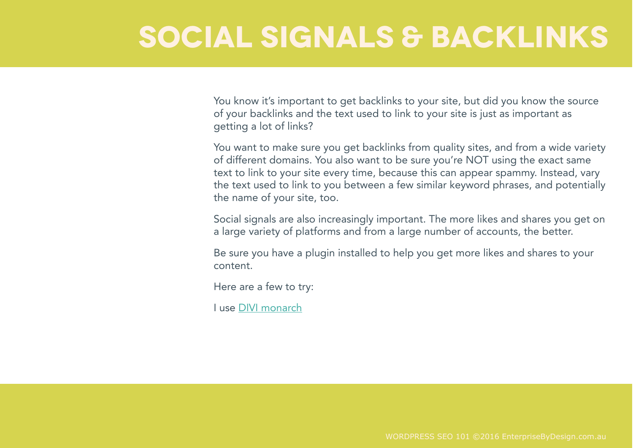#### **Social Signals & Backlinks**

You know it's important to get backlinks to your site, but did you know the source of your backlinks and the text used to link to your site is just as important as getting a lot of links?

You want to make sure you get backlinks from quality sites, and from a wide variety of different domains. You also want to be sure you're NOT using the exact same text to link to your site every time, because this can appear spammy. Instead, vary the text used to link to you between a few similar keyword phrases, and potentially the name of your site, too.

Social signals are also increasingly important. The more likes and shares you get on a large variety of platforms and from a large number of accounts, the better.

Be sure you have a plugin installed to help you get more likes and shares to your content.

Here are a few to try:

I use DIVI monarch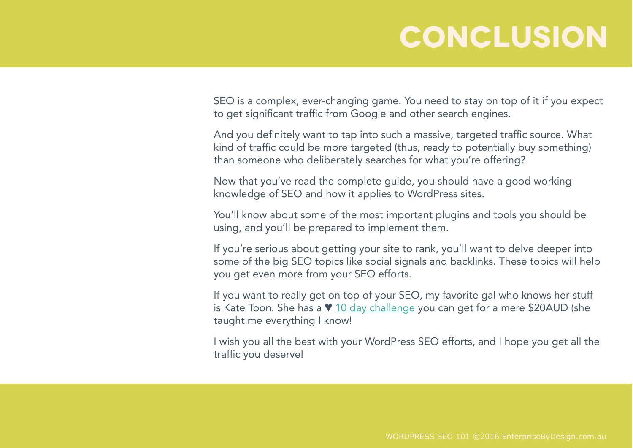#### **Conclusion**

SEO is a complex, ever-changing game. You need to stay on top of it if you expect to get significant traffic from Google and other search engines.

And you definitely want to tap into such a massive, targeted traffic source. What kind of traffic could be more targeted (thus, ready to potentially buy something) than someone who deliberately searches for what you're offering?

Now that you've read the complete guide, you should have a good working knowledge of SEO and how it applies to WordPress sites.

You'll know about some of the most important plugins and tools you should be using, and you'll be prepared to implement them.

If you're serious about getting your site to rank, you'll want to delve deeper into some of the big SEO topics like social signals and backlinks. These topics will help you get even more from your SEO efforts.

If you want to really get on top of your SEO, my favorite gal who knows her stuff is Kate Toon. She has a  $\vee$  10 day challenge you can get for a mere \$20AUD (she taught me everything I know!

I wish you all the best with your WordPress SEO efforts, and I hope you get all the traffic you deserve!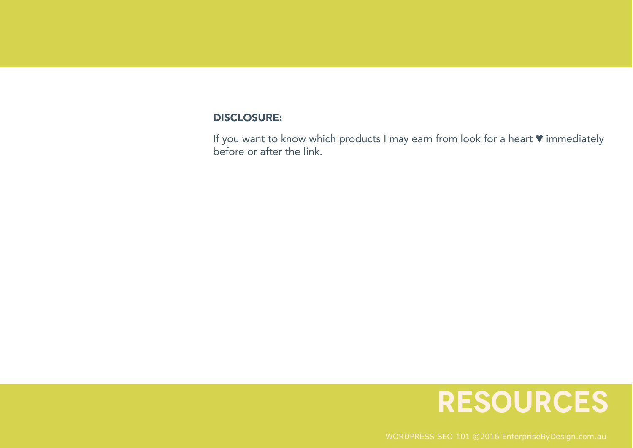#### DISCLOSURE:

If you want to know which products I may earn from look for a heart ♥ immediately before or after the link.